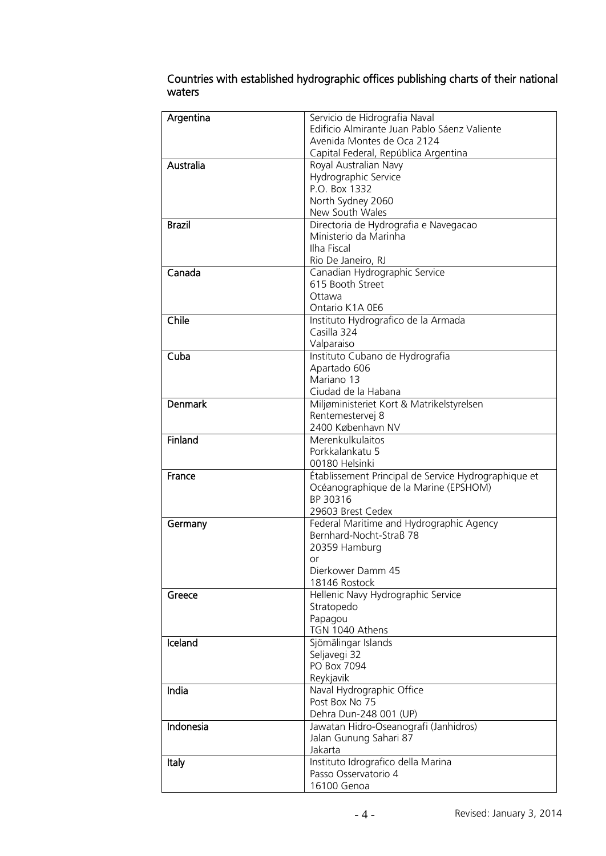| Argentina      | Servicio de Hidrografia Naval                        |
|----------------|------------------------------------------------------|
|                | Edificio Almirante Juan Pablo Sáenz Valiente         |
|                | Avenida Montes de Oca 2124                           |
|                | Capital Federal, República Argentina                 |
| Australia      | Royal Australian Navy                                |
|                | Hydrographic Service                                 |
|                | P.O. Box 1332                                        |
|                | North Sydney 2060                                    |
|                | New South Wales                                      |
| <b>Brazil</b>  | Directoria de Hydrografia e Navegacao                |
|                | Ministerio da Marinha                                |
|                | Ilha Fiscal                                          |
|                | Rio De Janeiro, RJ                                   |
| Canada         | Canadian Hydrographic Service                        |
|                | 615 Booth Street                                     |
|                | Ottawa                                               |
|                | Ontario K1A 0E6                                      |
| Chile          | Instituto Hydrografico de la Armada                  |
|                | Casilla 324                                          |
|                | Valparaiso                                           |
| Cuba           | Instituto Cubano de Hydrografia                      |
|                | Apartado 606                                         |
|                | Mariano 13                                           |
|                | Ciudad de la Habana                                  |
| <b>Denmark</b> | Miljøministeriet Kort & Matrikelstyrelsen            |
|                | Rentemestervej 8                                     |
|                | 2400 København NV                                    |
| Finland        | Merenkulkulaitos                                     |
|                | Porkkalankatu 5                                      |
|                | 00180 Helsinki                                       |
| France         | Établissement Principal de Service Hydrographique et |
|                | Océanographique de la Marine (EPSHOM)                |
|                | BP 30316                                             |
|                | 29603 Brest Cedex                                    |
| Germany        | Federal Maritime and Hydrographic Agency             |
|                | Bernhard-Nocht-Straß 78                              |
|                | 20359 Hamburg                                        |
|                | or.                                                  |
|                | Dierkower Damm 45                                    |
|                | 18146 Rostock                                        |
| Greece         | Hellenic Navy Hydrographic Service<br>Stratopedo     |
|                | Papagou                                              |
|                | TGN 1040 Athens                                      |
| Iceland        | Sjömälingar Islands                                  |
|                | Seljavegi 32                                         |
|                | PO Box 7094                                          |
|                | Reykjavik                                            |
| India          | Naval Hydrographic Office                            |
|                | Post Box No 75                                       |
|                | Dehra Dun-248 001 (UP)                               |
| Indonesia      | Jawatan Hidro-Oseanografi (Janhidros)                |
|                | Jalan Gunung Sahari 87                               |
|                | Jakarta                                              |
| Italy          | Instituto Idrografico della Marina                   |
|                | Passo Osservatorio 4                                 |
|                | 16100 Genoa                                          |
|                |                                                      |

## Countries with established hydrographic offices publishing charts of their national waters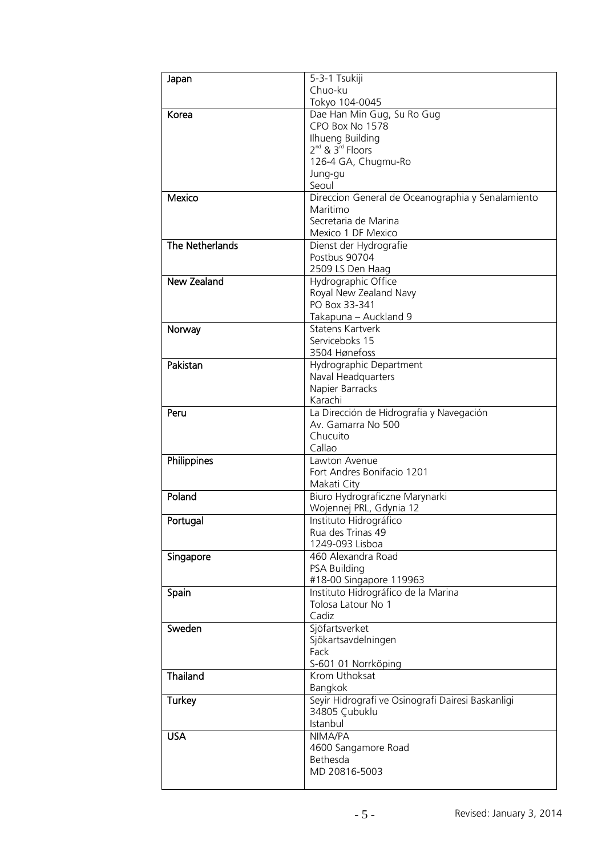## **Infosheet Lloyd's Register Foundation Information Centre** 71 Fenchurch Street **Lloyd's Register**  London Echdori<br>EC3M 4BS LC3M 4D3<br>United Kingdom Information Services<br>International yd's Register Foundat<br>ormation Centre<br>Fenchurch Street<br>Fenchurch Street<br>Idon<br>Ited Kingdom<br>-44 (0)20 7423 247:<br>Instinfo@Ir.org

TOSher

T: +44 (0)20 7423 2475 F: +44 (0)20 7423 2039 Fax: +44 (0)20 7423 2039 E: histinfo@lr.org www.lrfoundation.org.uk . . . . 0,20 . .25 205.<br>bistinfo@lr.org

Sugadhi



| Japan           | 5-3-1 Tsukiji                                                 |
|-----------------|---------------------------------------------------------------|
|                 | Chuo-ku                                                       |
|                 | Tokyo 104-0045                                                |
| Korea           | Dae Han Min Gug, Su Ro Gug                                    |
|                 | CPO Box No 1578                                               |
|                 | Ilhueng Building                                              |
|                 | $2^{nd}$ & $3^{rd}$ Floors                                    |
|                 | 126-4 GA, Chugmu-Ro                                           |
|                 | Jung-gu<br>Seoul                                              |
| Mexico          |                                                               |
|                 | Direccion General de Oceanographia y Senalamiento<br>Maritimo |
|                 | Secretaria de Marina                                          |
|                 | Mexico 1 DF Mexico                                            |
| The Netherlands | Dienst der Hydrografie                                        |
|                 | Postbus 90704                                                 |
|                 | 2509 LS Den Haag                                              |
| New Zealand     | Hydrographic Office                                           |
|                 | Royal New Zealand Navy                                        |
|                 | PO Box 33-341                                                 |
|                 | Takapuna - Auckland 9                                         |
| Norway          | <b>Statens Kartverk</b>                                       |
|                 | Serviceboks 15                                                |
|                 | 3504 Hønefoss                                                 |
| Pakistan        | Hydrographic Department                                       |
|                 | Naval Headquarters                                            |
|                 | Napier Barracks                                               |
|                 | Karachi                                                       |
| Peru            | La Dirección de Hidrografia y Navegación                      |
|                 | Av. Gamarra No 500                                            |
|                 | Chucuito                                                      |
|                 | Callao                                                        |
| Philippines     | Lawton Avenue                                                 |
|                 | Fort Andres Bonifacio 1201                                    |
| Poland          | Makati City<br>Biuro Hydrograficzne Marynarki                 |
|                 | Wojennej PRL, Gdynia 12                                       |
| Portugal        | Instituto Hidrográfico                                        |
|                 | Rua des Trinas 49                                             |
|                 | 1249-093 Lisboa                                               |
| Singapore       | 460 Alexandra Road                                            |
|                 | <b>PSA Building</b>                                           |
|                 | #18-00 Singapore 119963                                       |
| Spain           | Instituto Hidrográfico de la Marina                           |
|                 | Tolosa Latour No 1                                            |
|                 | Cadiz                                                         |
| Sweden          | Sjöfartsverket                                                |
|                 | Sjökartsavdelningen                                           |
|                 | Fack                                                          |
|                 | S-601 01 Norrköping                                           |
| Thailand        | Krom Uthoksat                                                 |
|                 | Bangkok                                                       |
| <b>Turkey</b>   | Seyir Hidrografi ve Osinografi Dairesi Baskanligi             |
|                 | 34805 Çubuklu                                                 |
|                 | Istanbul                                                      |
| <b>USA</b>      | NIMA/PA                                                       |
|                 | 4600 Sangamore Road                                           |
|                 | Bethesda                                                      |
|                 | MD 20816-5003                                                 |
|                 |                                                               |